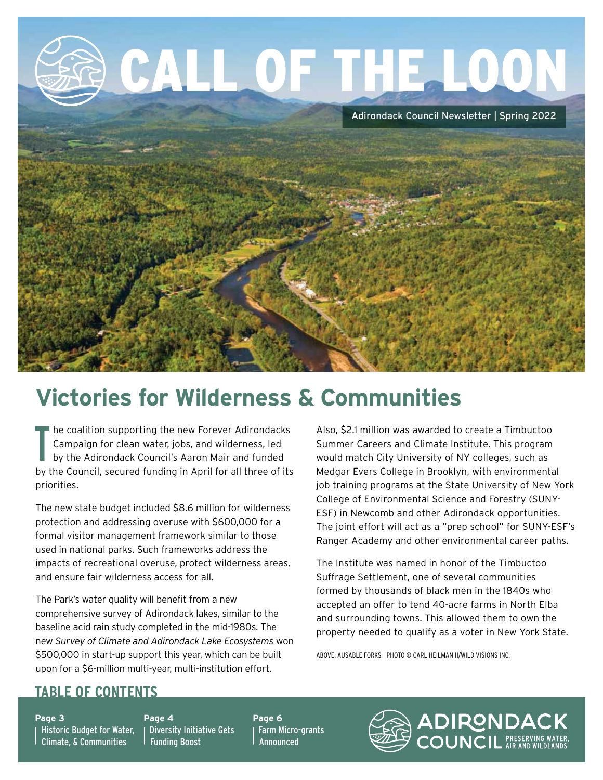

### **Victories for Wilderness & Communities**

T he coalition supporting the new Forever Adirondacks Campaign for clean water, jobs, and wilderness, led by the Adirondack Council's Aaron Mair and funded by the Council, secured funding in April for all three of its priorities.

The new state budget included \$8.6 million for wilderness protection and addressing overuse with \$600,000 for a formal visitor management framework similar to those used in national parks. Such frameworks address the impacts of recreational overuse, protect wilderness areas, and ensure fair wilderness access for all.

The Park's water quality will benefit from a new comprehensive survey of Adirondack lakes, similar to the baseline acid rain study completed in the mid-1980s. The new *Survey of Climate and Adirondack Lake Ecosystems* won \$500,000 in start-up support this year, which can be built upon for a \$6-million multi-year, multi-institution effort.

Also, \$2.1 million was awarded to create a Timbuctoo Summer Careers and Climate Institute. This program would match City University of NY colleges, such as Medgar Evers College in Brooklyn, with environmental job training programs at the State University of New York College of Environmental Science and Forestry (SUNY-ESF) in Newcomb and other Adirondack opportunities. The joint effort will act as a "prep school" for SUNY-ESF's Ranger Academy and other environmental career paths.

The Institute was named in honor of the Timbuctoo Suffrage Settlement, one of several communities formed by thousands of black men in the 1840s who accepted an offer to tend 40-acre farms in North Elba and surrounding towns. This allowed them to own the property needed to qualify as a voter in New York State.

ABOVE: AUSABLE FORKS | PHOTO © CARL HEILMAN II/WILD VISIONS INC.

#### **TABLE OF CONTENTS**

**Page 3**

 Historic Budget for Water, Climate, & Communities

**Page 4** Diversity Initiative Gets Funding Boost

**Page 6** Farm Micro-grants Announced

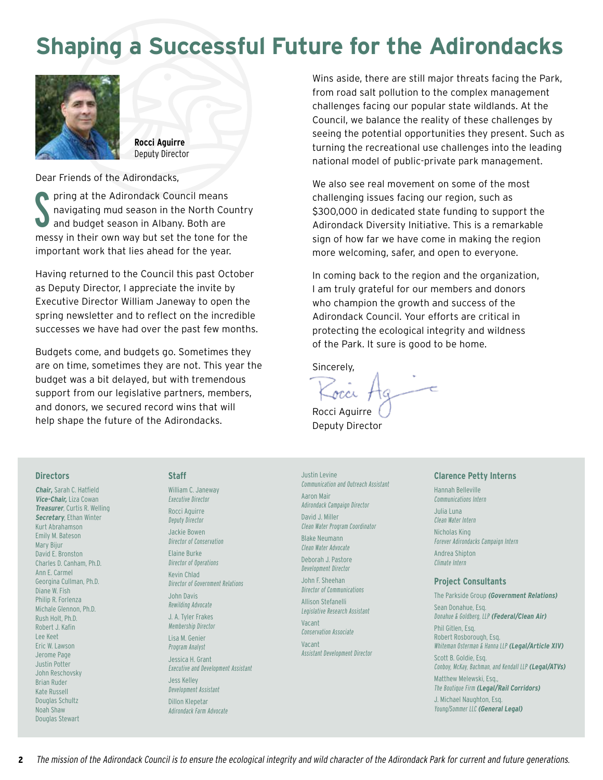## **Shaping a Successful Future for the Adirondacks**



**Rocci Aguirre** Deputy Director

Dear Friends of the Adirondacks,

S pring at the Adirondack Council means navigating mud season in the North Country and budget season in Albany. Both are messy in their own way but set the tone for the important work that lies ahead for the year.

Having returned to the Council this past October as Deputy Director, I appreciate the invite by Executive Director William Janeway to open the spring newsletter and to reflect on the incredible successes we have had over the past few months.

Budgets come, and budgets go. Sometimes they are on time, sometimes they are not. This year the budget was a bit delayed, but with tremendous support from our legislative partners, members, and donors, we secured record wins that will help shape the future of the Adirondacks.

Wins aside, there are still major threats facing the Park, from road salt pollution to the complex management challenges facing our popular state wildlands. At the Council, we balance the reality of these challenges by seeing the potential opportunities they present. Such as turning the recreational use challenges into the leading national model of public-private park management.

We also see real movement on some of the most challenging issues facing our region, such as \$300,000 in dedicated state funding to support the Adirondack Diversity Initiative. This is a remarkable sign of how far we have come in making the region more welcoming, safer, and open to everyone.

In coming back to the region and the organization, I am truly grateful for our members and donors who champion the growth and success of the Adirondack Council. Your efforts are critical in protecting the ecological integrity and wildness of the Park. It sure is good to be home.

Sincerely,

occi

Rocci Aguirre Deputy Director

**Directors**

**Chair,** Sarah C. Hatfield **Vice-Chair,** Liza Cowan **Treasurer**, Curtis R. Welling **Secretary**, Ethan Winter Kurt Abrahamson Emily M. Bateson Mary Bijur David E. Bronston Charles D. Canham, Ph.D. Ann E. Carmel Georgina Cullman, Ph.D. Diane W. Fish Philip R. Forlenza Michale Glennon, Ph.D. Rush Holt, Ph.D. Robert J. Kafin Lee Keet Eric W. Lawson Jerome Page Justin Potter John Reschovsky Brian Ruder Kate Russell Douglas Schultz Noah Shaw Douglas Stewart

#### **Staff**

William C. Janeway Executive Director Rocci Aguirre Deputy Director Jackie Bowen Director of Conservation Elaine Burke Director of Operations Kevin Chlad Director of Government Relations John Davis Rewilding Advocate J. A. Tyler Frakes Membership Director Lisa M. Genier Program Analyst Jessica H. Grant Executive and Development Assistant Jess Kelley Development Assistant Dillon Klepetar Adirondack Farm Advocate

Justin Levine Communication and Outreach Assistant Aaron Mair Adirondack Campaign Director David J. Miller Clean Water Program Coordinator Blake Neumann Clean Water Advocate Deborah J. Pastore Development Director John F. Sheehan Director of Communications Allison Stefanelli Legislative Research Assistant Vacant Conservation Associate Vacant Assistant Development Director

#### **Clarence Petty Interns**

Hannah Belleville Communications Intern Julia Luna Clean Water Intern Nicholas King Forever Adirondacks Campaign Intern Andrea Shipton Climate Intern

#### **Project Consultants**

The Parkside Group **(Government Relations)** Sean Donahue, Esq. Donahue & Goldberg, LLP **(Federal/Clean Air)** Phil Gitlen, Esq. Robert Rosborough, Esq. Whiteman Osterman & Hanna LLP **(Legal/Article XIV)** Scott B. Goldie, Esq. Conboy, McKay, Bachman, and Kendall LLP **(Legal/ATVs)** Matthew Melewski, Esq., The Boutique Firm **(Legal/Rail Corridors)** J. Michael Naughton, Esq. Young/Sommer LLC **(General Legal)**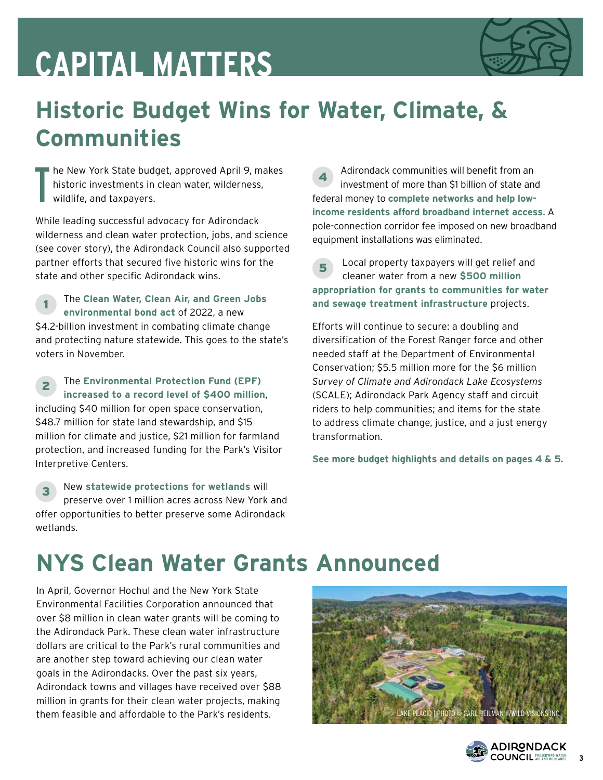# **CAPITAL MATTERS**



## **Historic Budget Wins for Water, Climate, & Communities**

T he New York State budget, approved April 9, makes historic investments in clean water, wilderness, wildlife, and taxpayers.

While leading successful advocacy for Adirondack wilderness and clean water protection, jobs, and science (see cover story), the Adirondack Council also supported partner efforts that secured five historic wins for the state and other specific Adirondack wins.

The **Clean Water, Clean Air, and Green Jobs environmental bond act** of 2022, a new \$4.2-billion investment in combating climate change and protecting nature statewide. This goes to the state's voters in November. 1

The **Environmental Protection Fund (EPF) increased to a record level of \$400 million**, including \$40 million for open space conservation, \$48.7 million for state land stewardship, and \$15 million for climate and justice, \$21 million for farmland protection, and increased funding for the Park's Visitor Interpretive Centers. 2

New **statewide protections for wetlands** will preserve over 1 million acres across New York and offer opportunities to better preserve some Adirondack wetlands. 3

Adirondack communities will benefit from an investment of more than \$1 billion of state and federal money to **complete networks and help lowincome residents afford broadband internet access**. A pole-connection corridor fee imposed on new broadband equipment installations was eliminated. 4

Local property taxpayers will get relief and cleaner water from a new **\$500 million appropriation for grants to communities for water and sewage treatment infrastructure** projects. 5

Efforts will continue to secure: a doubling and diversification of the Forest Ranger force and other needed staff at the Department of Environmental Conservation; \$5.5 million more for the \$6 million *Survey of Climate and Adirondack Lake Ecosystems* (SCALE); Adirondack Park Agency staff and circuit riders to help communities; and items for the state to address climate change, justice, and a just energy transformation.

**See more budget highlights and details on pages 4 & 5.**

## **NYS Clean Water Grants Announced**

In April, Governor Hochul and the New York State Environmental Facilities Corporation announced that over \$8 million in clean water grants will be coming to the Adirondack Park. These clean water infrastructure dollars are critical to the Park's rural communities and are another step toward achieving our clean water goals in the Adirondacks. Over the past six years, Adirondack towns and villages have received over \$88 million in grants for their clean water projects, making them feasible and affordable to the Park's residents. LAKE PLACID | PHOTO © CARL HEILMA



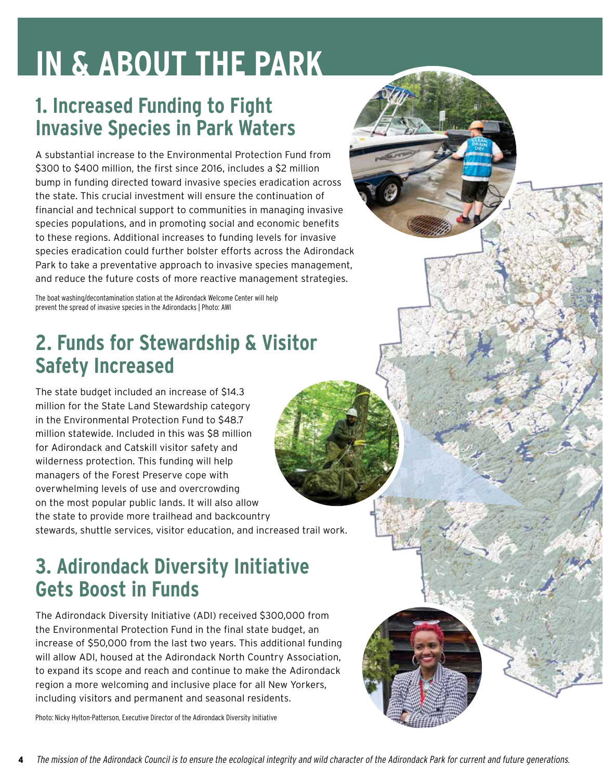# **IN & ABOUT THE PARK**

#### **1. Increased Funding to Fight Invasive Species in Park Waters**

A substantial increase to the Environmental Protection Fund from \$300 to \$400 million, the first since 2016, includes a \$2 million bump in funding directed toward invasive species eradication across the state. This crucial investment will ensure the continuation of financial and technical support to communities in managing invasive species populations, and in promoting social and economic benefits to these regions. Additional increases to funding levels for invasive species eradication could further bolster efforts across the Adirondack Park to take a preventative approach to invasive species management, and reduce the future costs of more reactive management strategies.

The boat washing/decontamination station at the Adirondack Welcome Center will help prevent the spread of invasive species in the Adirondacks | Photo: AWI

### **2. Funds for Stewardship & Visitor Safety Increased**

The state budget included an increase of \$14.3 million for the State Land Stewardship category in the Environmental Protection Fund to \$48.7 million statewide. Included in this was \$8 million for Adirondack and Catskill visitor safety and wilderness protection. This funding will help managers of the Forest Preserve cope with overwhelming levels of use and overcrowding on the most popular public lands. It will also allow the state to provide more trailhead and backcountry stewards, shuttle services, visitor education, and increased trail work.

### **3. Adirondack Diversity Initiative Gets Boost in Funds**

The Adirondack Diversity Initiative (ADI) received \$300,000 from the Environmental Protection Fund in the final state budget, an increase of \$50,000 from the last two years. This additional funding will allow ADI, housed at the Adirondack North Country Association, to expand its scope and reach and continue to make the Adirondack region a more welcoming and inclusive place for all New Yorkers, including visitors and permanent and seasonal residents.

Photo: Nicky Hylton-Patterson, Executive Director of the Adirondack Diversity Initiative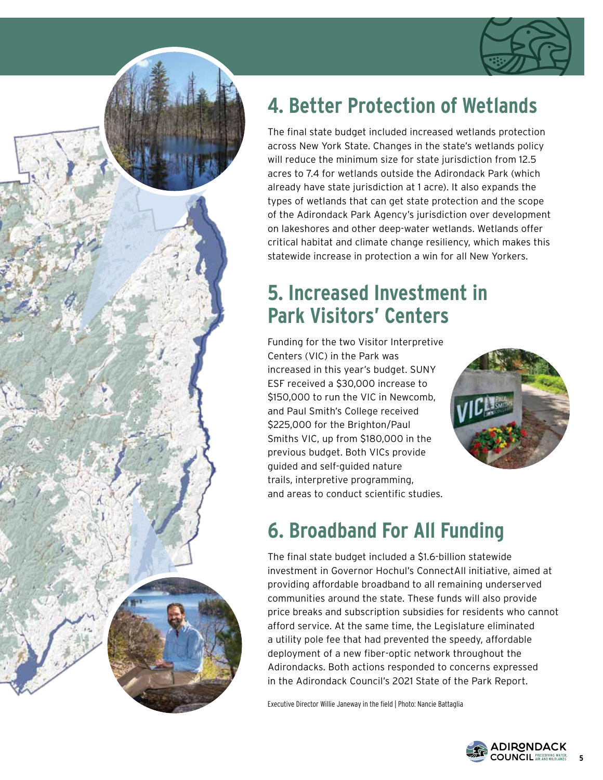



### **4. Better Protection of Wetlands**

The final state budget included increased wetlands protection across New York State. Changes in the state's wetlands policy will reduce the minimum size for state jurisdiction from 12.5 acres to 7.4 for wetlands outside the Adirondack Park (which already have state jurisdiction at 1 acre). It also expands the types of wetlands that can get state protection and the scope of the Adirondack Park Agency's jurisdiction over development on lakeshores and other deep-water wetlands. Wetlands offer critical habitat and climate change resiliency, which makes this statewide increase in protection a win for all New Yorkers.

#### **5. Increased Investment in Park Visitors' Centers**

Funding for the two Visitor Interpretive Centers (VIC) in the Park was increased in this year's budget. SUNY ESF received a \$30,000 increase to \$150,000 to run the VIC in Newcomb, and Paul Smith's College received \$225,000 for the Brighton/Paul Smiths VIC, up from \$180,000 in the previous budget. Both VICs provide guided and self-guided nature trails, interpretive programming, and areas to conduct scientific studies.



## **6. Broadband For All Funding**

The final state budget included a \$1.6-billion statewide investment in Governor Hochul's ConnectAll initiative, aimed at providing affordable broadband to all remaining underserved communities around the state. These funds will also provide price breaks and subscription subsidies for residents who cannot afford service. At the same time, the Legislature eliminated a utility pole fee that had prevented the speedy, affordable deployment of a new fiber-optic network throughout the Adirondacks. Both actions responded to concerns expressed in the Adirondack Council's 2021 State of the Park Report.

Executive Director Willie Janeway in the field | Photo: Nancie Battaglia

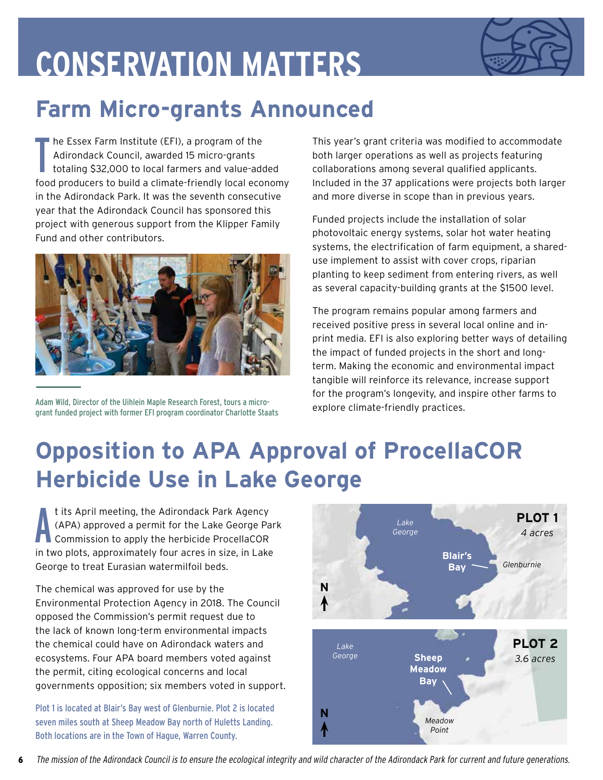# **CONSERVATION MATTERS**



## **Farm Micro-grants Announced**

T he Essex Farm Institute (EFI), a program of the Adirondack Council, awarded 15 micro-grants totaling \$32,000 to local farmers and value-added food producers to build a climate-friendly local economy in the Adirondack Park. It was the seventh consecutive year that the Adirondack Council has sponsored this project with generous support from the Klipper Family Fund and other contributors.



Adam Wild, Director of the Uihlein Maple Research Forest, tours a microgrant funded project with former EFI program coordinator Charlotte Staats

This year's grant criteria was modified to accommodate both larger operations as well as projects featuring collaborations among several qualified applicants. Included in the 37 applications were projects both larger and more diverse in scope than in previous years.

Funded projects include the installation of solar photovoltaic energy systems, solar hot water heating systems, the electrification of farm equipment, a shareduse implement to assist with cover crops, riparian planting to keep sediment from entering rivers, as well as several capacity-building grants at the \$1500 level.

The program remains popular among farmers and received positive press in several local online and inprint media. EFI is also exploring better ways of detailing the impact of funded projects in the short and longterm. Making the economic and environmental impact tangible will reinforce its relevance, increase support for the program's longevity, and inspire other farms to explore climate-friendly practices.

## **Opposition to APA Approval of ProcellaCOR Herbicide Use in Lake George**

A t its April meeting, the Adirondack Park Agency (APA) approved a permit for the Lake George Park Commission to apply the herbicide ProcellaCOR in two plots, approximately four acres in size, in Lake George to treat Eurasian watermilfoil beds.

The chemical was approved for use by the Environmental Protection Agency in 2018. The Council opposed the Commission's permit request due to the lack of known long-term environmental impacts the chemical could have on Adirondack waters and ecosystems. Four APA board members voted against the permit, citing ecological concerns and local governments opposition; six members voted in support.

Plot 1 is located at Blair's Bay west of Glenburnie. Plot 2 is located seven miles south at Sheep Meadow Bay north of Huletts Landing. Both locations are in the Town of Hague, Warren County.



6 The mission of the Adirondack Council is to ensure the ecological integrity and wild character of the Adirondack Park for current and future generations.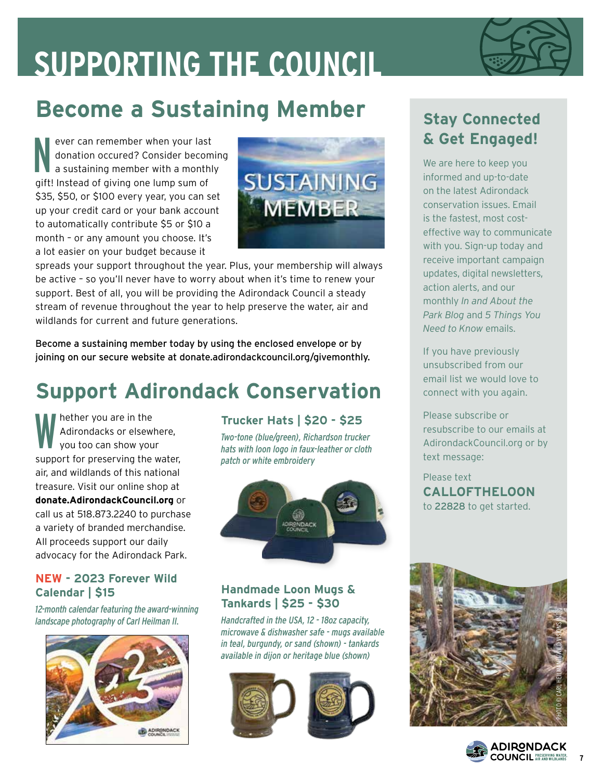# **SUPPORTING THE COUNCIL**



## **Become a Sustaining Member**

N ever can remember when your last donation occured? Consider becoming a sustaining member with a monthly gift! Instead of giving one lump sum of \$35, \$50, or \$100 every year, you can set up your credit card or your bank account to automatically contribute \$5 or \$10 a month – or any amount you choose. It's a lot easier on your budget because it



spreads your support throughout the year. Plus, your membership will always be active – so you'll never have to worry about when it's time to renew your support. Best of all, you will be providing the Adirondack Council a steady stream of revenue throughout the year to help preserve the water, air and wildlands for current and future generations.

Become a sustaining member today by using the enclosed envelope or by joining on our secure website at donate.adirondackcouncil.org/givemonthly.

# **Support Adirondack Conservation**

W hether you are in the Adirondacks or elsewhere, you too can show your support for preserving the water, air, and wildlands of this national treasure. Visit our online shop at **donate.AdirondackCouncil.org** or call us at 518.873.2240 to purchase a variety of branded merchandise. All proceeds support our daily advocacy for the Adirondack Park.

#### **NEW - 2023 Forever Wild Calendar | \$15**

*12-month calendar featuring the award-winning landscape photography of Carl Heilman II.*



#### **Trucker Hats | \$20 - \$25**

*Two-tone (blue/green), Richardson trucker hats with loon logo in faux-leather or cloth patch or white embroidery*



#### **Handmade Loon Mugs & Tankards | \$25 - \$30**

*Handcrafted in the USA, 12 - 18oz capacity, microwave & dishwasher safe - mugs available in teal, burgundy, or sand (shown) - tankards available in dijon or heritage blue (shown)*





#### **Stay Connected & Get Engaged!**

We are here to keep you informed and up-to-date on the latest Adirondack conservation issues. Email is the fastest, most costeffective way to communicate with you. Sign-up today and receive important campaign updates, digital newsletters, action alerts, and our monthly *In and About the Park Blog* and *5 Things You Need to Know* emails.

If you have previously unsubscribed from our email list we would love to connect with you again.

Please subscribe or resubscribe to our emails at AdirondackCouncil.org or by text message:

Please text **CALLOFTHELOON** to 22828 to get started.